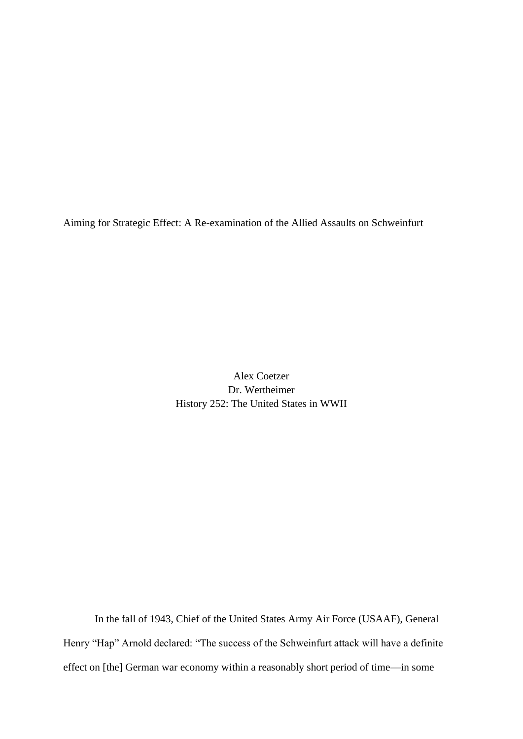Aiming for Strategic Effect: A Re-examination of the Allied Assaults on Schweinfurt

Alex Coetzer Dr. Wertheimer History 252: The United States in WWII

In the fall of 1943, Chief of the United States Army Air Force (USAAF), General Henry "Hap" Arnold declared: "The success of the Schweinfurt attack will have a definite effect on [the] German war economy within a reasonably short period of time—in some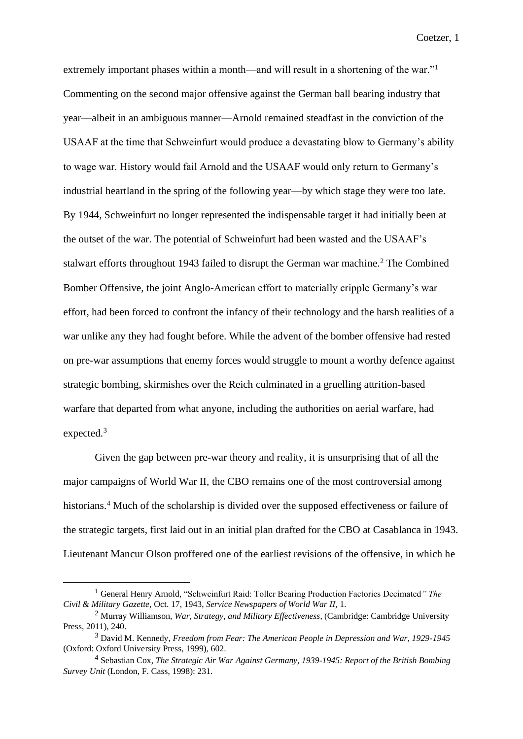extremely important phases within a month—and will result in a shortening of the war."<sup>1</sup> Commenting on the second major offensive against the German ball bearing industry that year—albeit in an ambiguous manner—Arnold remained steadfast in the conviction of the USAAF at the time that Schweinfurt would produce a devastating blow to Germany's ability to wage war. History would fail Arnold and the USAAF would only return to Germany's industrial heartland in the spring of the following year—by which stage they were too late. By 1944, Schweinfurt no longer represented the indispensable target it had initially been at the outset of the war. The potential of Schweinfurt had been wasted and the USAAF's stalwart efforts throughout 1943 failed to disrupt the German war machine.<sup>2</sup> The Combined Bomber Offensive, the joint Anglo-American effort to materially cripple Germany's war effort, had been forced to confront the infancy of their technology and the harsh realities of a war unlike any they had fought before. While the advent of the bomber offensive had rested on pre-war assumptions that enemy forces would struggle to mount a worthy defence against strategic bombing, skirmishes over the Reich culminated in a gruelling attrition-based warfare that departed from what anyone, including the authorities on aerial warfare, had expected.<sup>3</sup>

Given the gap between pre-war theory and reality, it is unsurprising that of all the major campaigns of World War II, the CBO remains one of the most controversial among historians.<sup>4</sup> Much of the scholarship is divided over the supposed effectiveness or failure of the strategic targets, first laid out in an initial plan drafted for the CBO at Casablanca in 1943. Lieutenant Mancur Olson proffered one of the earliest revisions of the offensive, in which he

<sup>1</sup> General Henry Arnold, "Schweinfurt Raid: Toller Bearing Production Factories Decimated*" The Civil & Military Gazette,* Oct. 17, 1943, *Service Newspapers of World War II,* 1.

<sup>2</sup> Murray Williamson, *War, Strategy, and Military Effectiveness*, (Cambridge: Cambridge University Press, 2011), 240.

<sup>3</sup> David M. Kennedy, *Freedom from Fear: The American People in Depression and War, 1929-1945*  (Oxford: Oxford University Press, 1999), 602.

<sup>4</sup> Sebastian Cox, *The Strategic Air War Against Germany, 1939-1945: Report of the British Bombing Survey Unit* (London, F. Cass, 1998): 231.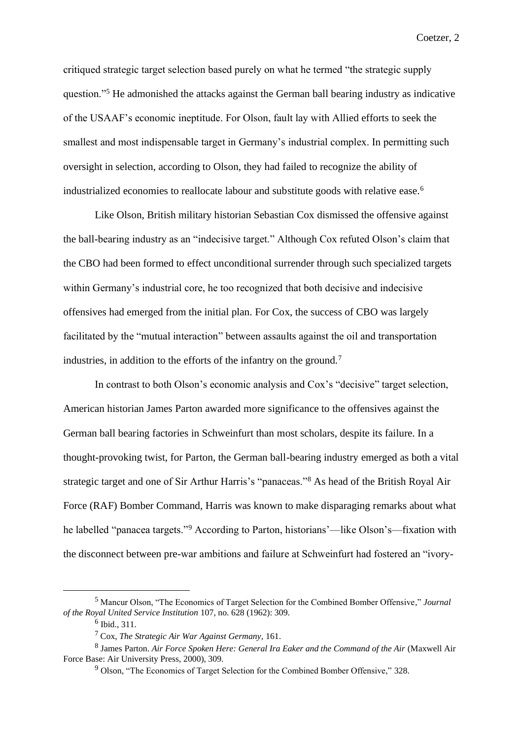critiqued strategic target selection based purely on what he termed "the strategic supply question."<sup>5</sup> He admonished the attacks against the German ball bearing industry as indicative of the USAAF's economic ineptitude. For Olson, fault lay with Allied efforts to seek the smallest and most indispensable target in Germany's industrial complex. In permitting such oversight in selection, according to Olson, they had failed to recognize the ability of industrialized economies to reallocate labour and substitute goods with relative ease.<sup>6</sup>

Like Olson, British military historian Sebastian Cox dismissed the offensive against the ball-bearing industry as an "indecisive target." Although Cox refuted Olson's claim that the CBO had been formed to effect unconditional surrender through such specialized targets within Germany's industrial core, he too recognized that both decisive and indecisive offensives had emerged from the initial plan. For Cox, the success of CBO was largely facilitated by the "mutual interaction" between assaults against the oil and transportation industries, in addition to the efforts of the infantry on the ground.<sup>7</sup>

In contrast to both Olson's economic analysis and Cox's "decisive" target selection, American historian James Parton awarded more significance to the offensives against the German ball bearing factories in Schweinfurt than most scholars, despite its failure. In a thought-provoking twist, for Parton, the German ball-bearing industry emerged as both a vital strategic target and one of Sir Arthur Harris's "panaceas."<sup>8</sup> As head of the British Royal Air Force (RAF) Bomber Command, Harris was known to make disparaging remarks about what he labelled "panacea targets."<sup>9</sup> According to Parton, historians'—like Olson's—fixation with the disconnect between pre-war ambitions and failure at Schweinfurt had fostered an "ivory-

<sup>5</sup> Mancur Olson, "The Economics of Target Selection for the Combined Bomber Offensive," *Journal of the Royal United Service Institution* 107, no. 628 (1962): 309.

<sup>6</sup> Ibid., 311.

<sup>7</sup> Cox, *The Strategic Air War Against Germany,* 161.

<sup>8</sup> James Parton. *Air Force Spoken Here: General Ira Eaker and the Command of the Air* (Maxwell Air Force Base: Air University Press, 2000), 309.

<sup>9</sup> Olson, "The Economics of Target Selection for the Combined Bomber Offensive," 328.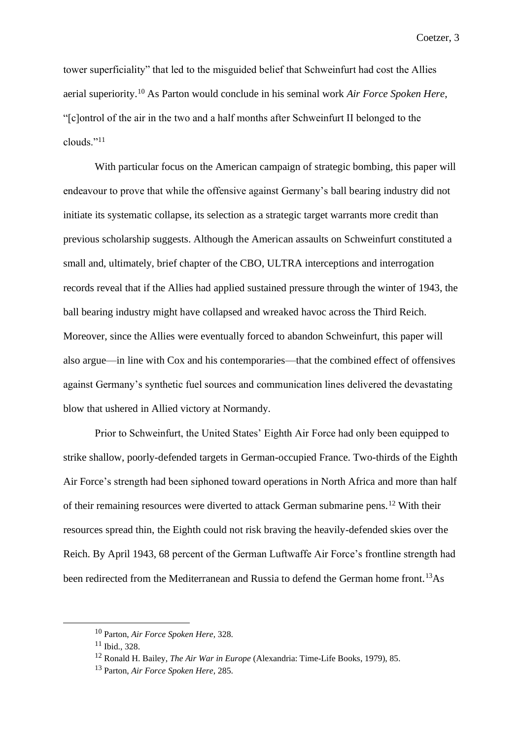tower superficiality" that led to the misguided belief that Schweinfurt had cost the Allies aerial superiority.<sup>10</sup> As Parton would conclude in his seminal work *Air Force Spoken Here*, "[c]ontrol of the air in the two and a half months after Schweinfurt II belonged to the clouds."<sup>11</sup>

With particular focus on the American campaign of strategic bombing, this paper will endeavour to prove that while the offensive against Germany's ball bearing industry did not initiate its systematic collapse, its selection as a strategic target warrants more credit than previous scholarship suggests. Although the American assaults on Schweinfurt constituted a small and, ultimately, brief chapter of the CBO, ULTRA interceptions and interrogation records reveal that if the Allies had applied sustained pressure through the winter of 1943, the ball bearing industry might have collapsed and wreaked havoc across the Third Reich. Moreover, since the Allies were eventually forced to abandon Schweinfurt, this paper will also argue—in line with Cox and his contemporaries—that the combined effect of offensives against Germany's synthetic fuel sources and communication lines delivered the devastating blow that ushered in Allied victory at Normandy.

Prior to Schweinfurt, the United States' Eighth Air Force had only been equipped to strike shallow, poorly-defended targets in German-occupied France. Two-thirds of the Eighth Air Force's strength had been siphoned toward operations in North Africa and more than half of their remaining resources were diverted to attack German submarine pens.<sup>12</sup> With their resources spread thin, the Eighth could not risk braving the heavily-defended skies over the Reich. By April 1943, 68 percent of the German Luftwaffe Air Force's frontline strength had been redirected from the Mediterranean and Russia to defend the German home front.<sup>13</sup>As

<sup>10</sup> Parton, *Air Force Spoken Here,* 328.

 $11$  Ibid., 328.

<sup>12</sup> Ronald H. Bailey, *The Air War in Europe* (Alexandria: Time-Life Books, 1979), 85.

<sup>13</sup> Parton, *Air Force Spoken Here,* 285.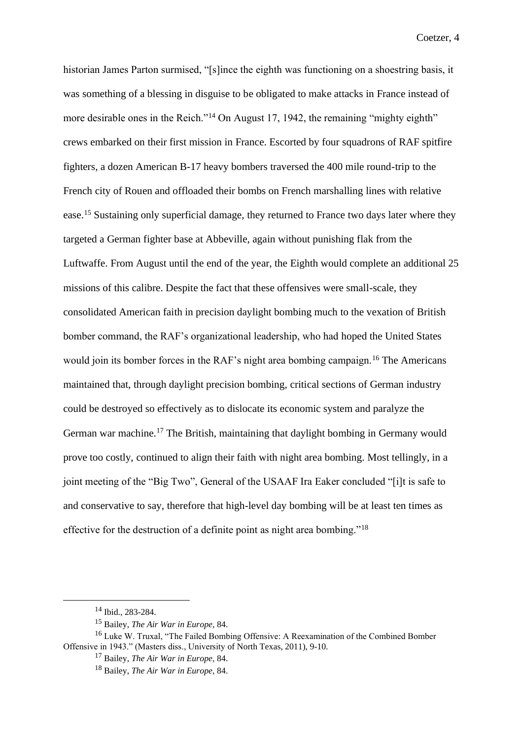historian James Parton surmised, "[s]ince the eighth was functioning on a shoestring basis, it was something of a blessing in disguise to be obligated to make attacks in France instead of more desirable ones in the Reich."<sup>14</sup> On August 17, 1942, the remaining "mighty eighth" crews embarked on their first mission in France. Escorted by four squadrons of RAF spitfire fighters, a dozen American B-17 heavy bombers traversed the 400 mile round-trip to the French city of Rouen and offloaded their bombs on French marshalling lines with relative ease.<sup>15</sup> Sustaining only superficial damage, they returned to France two days later where they targeted a German fighter base at Abbeville, again without punishing flak from the Luftwaffe. From August until the end of the year, the Eighth would complete an additional 25 missions of this calibre. Despite the fact that these offensives were small-scale, they consolidated American faith in precision daylight bombing much to the vexation of British bomber command, the RAF's organizational leadership, who had hoped the United States would join its bomber forces in the RAF's night area bombing campaign.<sup>16</sup> The Americans maintained that, through daylight precision bombing, critical sections of German industry could be destroyed so effectively as to dislocate its economic system and paralyze the German war machine.<sup>17</sup> The British, maintaining that daylight bombing in Germany would prove too costly, continued to align their faith with night area bombing. Most tellingly, in a joint meeting of the "Big Two", General of the USAAF Ira Eaker concluded "[i]t is safe to and conservative to say, therefore that high-level day bombing will be at least ten times as effective for the destruction of a definite point as night area bombing."<sup>18</sup>

<sup>14</sup> Ibid., 283-284.

<sup>15</sup> Bailey, *The Air War in Europe,* 84.

<sup>&</sup>lt;sup>16</sup> Luke W. Truxal, "The Failed Bombing Offensive: A Reexamination of the Combined Bomber Offensive in 1943." (Masters diss., University of North Texas, 2011), 9-10.

<sup>17</sup> Bailey, *The Air War in Europe,* 84.

<sup>18</sup> Bailey, *The Air War in Europe,* 84.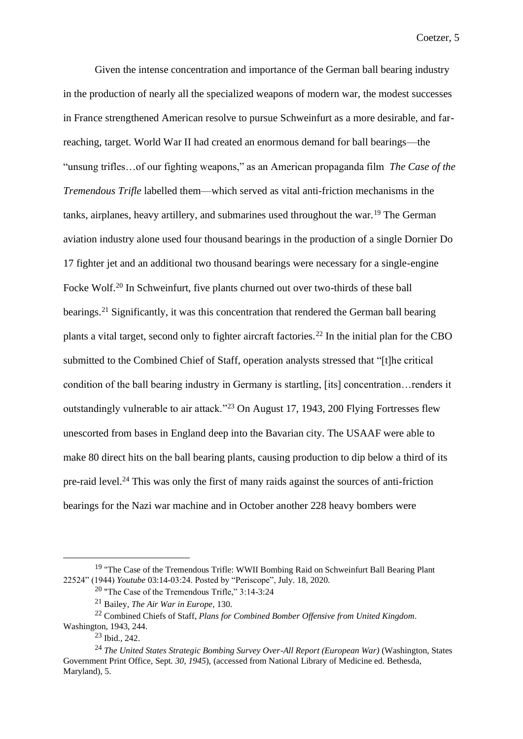Given the intense concentration and importance of the German ball bearing industry in the production of nearly all the specialized weapons of modern war, the modest successes in France strengthened American resolve to pursue Schweinfurt as a more desirable, and farreaching, target. World War II had created an enormous demand for ball bearings—the "unsung trifles…of our fighting weapons," as an American propaganda film *The Case of the Tremendous Trifle* labelled them—which served as vital anti-friction mechanisms in the tanks, airplanes, heavy artillery, and submarines used throughout the war.<sup>19</sup> The German aviation industry alone used four thousand bearings in the production of a single Dornier Do 17 fighter jet and an additional two thousand bearings were necessary for a single-engine Focke Wolf.<sup>20</sup> In Schweinfurt, five plants churned out over two-thirds of these ball bearings.<sup>21</sup> Significantly, it was this concentration that rendered the German ball bearing plants a vital target, second only to fighter aircraft factories.<sup>22</sup> In the initial plan for the CBO submitted to the Combined Chief of Staff, operation analysts stressed that "[t]he critical condition of the ball bearing industry in Germany is startling, [its] concentration…renders it outstandingly vulnerable to air attack."<sup>23</sup> On August 17, 1943, 200 Flying Fortresses flew unescorted from bases in England deep into the Bavarian city. The USAAF were able to make 80 direct hits on the ball bearing plants, causing production to dip below a third of its pre-raid level.<sup>24</sup> This was only the first of many raids against the sources of anti-friction bearings for the Nazi war machine and in October another 228 heavy bombers were

<sup>&</sup>lt;sup>19</sup> "The Case of the Tremendous Trifle: WWII Bombing Raid on Schweinfurt Ball Bearing Plant 22524" (1944) *Youtube* 03:14-03:24. Posted by "Periscope", July. 18, 2020.

<sup>20</sup> "The Case of the Tremendous Trifle," 3:14-3:24

<sup>21</sup> Bailey, *The Air War in Europe,* 130.

<sup>22</sup> Combined Chiefs of Staff, *Plans for Combined Bomber Offensive from United Kingdom*. Washington, 1943, 244.

<sup>23</sup> Ibid.*,* 242.

<sup>24</sup> *The United States Strategic Bombing Survey Over-All Report (European War)* (Washington, States Government Print Office, Sept*. 30, 1945*), (accessed from National Library of Medicine ed. Bethesda, Maryland), 5.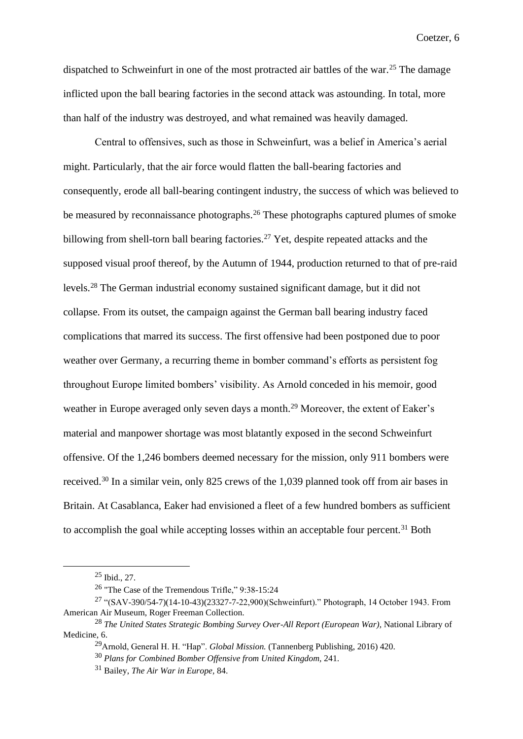dispatched to Schweinfurt in one of the most protracted air battles of the war.<sup>25</sup> The damage inflicted upon the ball bearing factories in the second attack was astounding. In total, more than half of the industry was destroyed, and what remained was heavily damaged.

Central to offensives, such as those in Schweinfurt, was a belief in America's aerial might. Particularly, that the air force would flatten the ball-bearing factories and consequently, erode all ball-bearing contingent industry, the success of which was believed to be measured by reconnaissance photographs.<sup>26</sup> These photographs captured plumes of smoke billowing from shell-torn ball bearing factories.<sup>27</sup> Yet, despite repeated attacks and the supposed visual proof thereof, by the Autumn of 1944, production returned to that of pre-raid levels.<sup>28</sup> The German industrial economy sustained significant damage, but it did not collapse. From its outset, the campaign against the German ball bearing industry faced complications that marred its success. The first offensive had been postponed due to poor weather over Germany, a recurring theme in bomber command's efforts as persistent fog throughout Europe limited bombers' visibility. As Arnold conceded in his memoir, good weather in Europe averaged only seven days a month.<sup>29</sup> Moreover, the extent of Eaker's material and manpower shortage was most blatantly exposed in the second Schweinfurt offensive. Of the 1,246 bombers deemed necessary for the mission, only 911 bombers were received.<sup>30</sup> In a similar vein, only 825 crews of the 1,039 planned took off from air bases in Britain. At Casablanca, Eaker had envisioned a fleet of a few hundred bombers as sufficient to accomplish the goal while accepting losses within an acceptable four percent.<sup>31</sup> Both

 $25$  Ibid., 27.

<sup>&</sup>lt;sup>26</sup> "The Case of the Tremendous Trifle," 9:38-15:24

<sup>27</sup> "(SAV-390/54-7)(14-10-43)(23327-7-22,900)(Schweinfurt)." Photograph, 14 October 1943. From American Air Museum, Roger Freeman Collection.

<sup>28</sup> *The United States Strategic Bombing Survey Over-All Report (European War),* National Library of Medicine, 6.

<sup>29</sup>Arnold, General H. H. "Hap". *Global Mission.* (Tannenberg Publishing, 2016) 420.

<sup>30</sup> *Plans for Combined Bomber Offensive from United Kingdom,* 241.

<sup>31</sup> Bailey, *The Air War in Europe,* 84.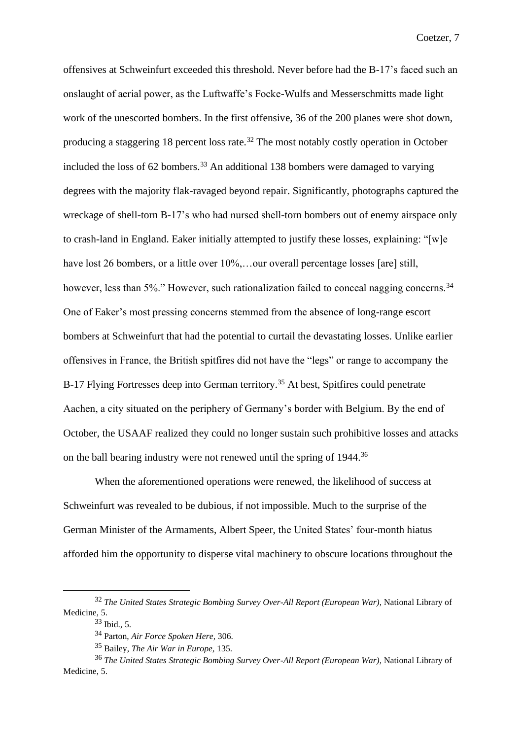offensives at Schweinfurt exceeded this threshold. Never before had the B-17's faced such an onslaught of aerial power, as the Luftwaffe's Focke-Wulfs and Messerschmitts made light work of the unescorted bombers. In the first offensive, 36 of the 200 planes were shot down, producing a staggering 18 percent loss rate.<sup>32</sup> The most notably costly operation in October included the loss of  $62$  bombers.<sup>33</sup> An additional 138 bombers were damaged to varying degrees with the majority flak-ravaged beyond repair. Significantly, photographs captured the wreckage of shell-torn B-17's who had nursed shell-torn bombers out of enemy airspace only to crash-land in England. Eaker initially attempted to justify these losses, explaining: "[w]e have lost 26 bombers, or a little over  $10\%$ ,...our overall percentage losses [are] still, however, less than 5%." However, such rationalization failed to conceal nagging concerns.<sup>34</sup> One of Eaker's most pressing concerns stemmed from the absence of long-range escort bombers at Schweinfurt that had the potential to curtail the devastating losses. Unlike earlier offensives in France, the British spitfires did not have the "legs" or range to accompany the B-17 Flying Fortresses deep into German territory.<sup>35</sup> At best, Spitfires could penetrate Aachen, a city situated on the periphery of Germany's border with Belgium. By the end of October, the USAAF realized they could no longer sustain such prohibitive losses and attacks on the ball bearing industry were not renewed until the spring of 1944.<sup>36</sup>

When the aforementioned operations were renewed, the likelihood of success at Schweinfurt was revealed to be dubious, if not impossible. Much to the surprise of the German Minister of the Armaments, Albert Speer, the United States' four-month hiatus afforded him the opportunity to disperse vital machinery to obscure locations throughout the

<sup>32</sup> *The United States Strategic Bombing Survey Over-All Report (European War),* National Library of Medicine, 5.

<sup>33</sup> Ibid., 5.

<sup>34</sup> Parton, *Air Force Spoken Here,* 306.

<sup>35</sup> Bailey, *The Air War in Europe,* 135.

<sup>36</sup> *The United States Strategic Bombing Survey Over-All Report (European War),* National Library of Medicine, 5.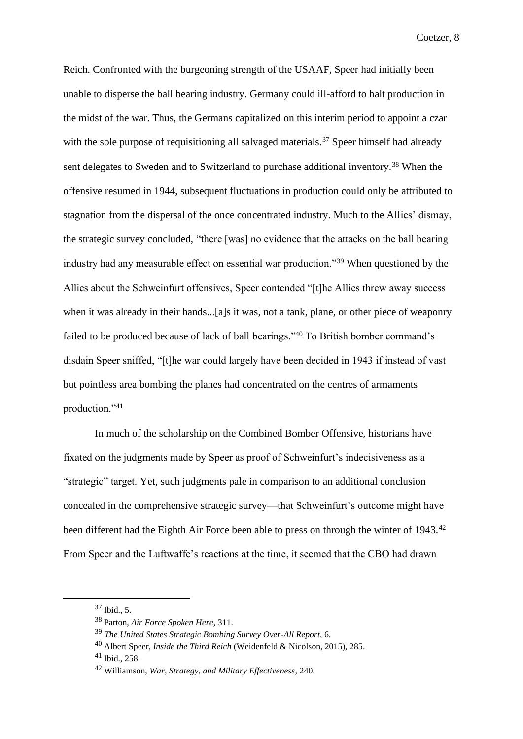Reich. Confronted with the burgeoning strength of the USAAF, Speer had initially been unable to disperse the ball bearing industry. Germany could ill-afford to halt production in the midst of the war. Thus, the Germans capitalized on this interim period to appoint a czar with the sole purpose of requisitioning all salvaged materials.<sup>37</sup> Speer himself had already sent delegates to Sweden and to Switzerland to purchase additional inventory.<sup>38</sup> When the offensive resumed in 1944, subsequent fluctuations in production could only be attributed to stagnation from the dispersal of the once concentrated industry. Much to the Allies' dismay, the strategic survey concluded, "there [was] no evidence that the attacks on the ball bearing industry had any measurable effect on essential war production."<sup>39</sup> When questioned by the Allies about the Schweinfurt offensives, Speer contended "[t]he Allies threw away success when it was already in their hands...[a]s it was, not a tank, plane, or other piece of weaponry failed to be produced because of lack of ball bearings."<sup>40</sup> To British bomber command's disdain Speer sniffed, "[t]he war could largely have been decided in 1943 if instead of vast but pointless area bombing the planes had concentrated on the centres of armaments production."<sup>41</sup>

In much of the scholarship on the Combined Bomber Offensive, historians have fixated on the judgments made by Speer as proof of Schweinfurt's indecisiveness as a "strategic" target. Yet, such judgments pale in comparison to an additional conclusion concealed in the comprehensive strategic survey—that Schweinfurt's outcome might have been different had the Eighth Air Force been able to press on through the winter of 1943.<sup>42</sup> From Speer and the Luftwaffe's reactions at the time, it seemed that the CBO had drawn

<sup>37</sup> Ibid., 5.

<sup>38</sup> Parton, *Air Force Spoken Here,* 311.

<sup>39</sup> *The United States Strategic Bombing Survey Over-All Report*, 6.

<sup>40</sup> Albert Speer, *Inside the Third Reich* (Weidenfeld & Nicolson, 2015), 285.

<sup>41</sup> Ibid., 258.

<sup>42</sup> Williamson, *War, Strategy, and Military Effectiveness,* 240.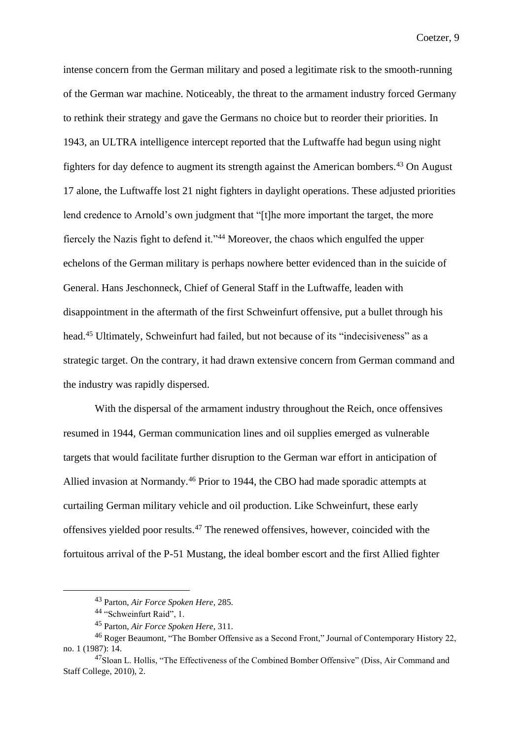intense concern from the German military and posed a legitimate risk to the smooth-running of the German war machine. Noticeably, the threat to the armament industry forced Germany to rethink their strategy and gave the Germans no choice but to reorder their priorities. In 1943, an ULTRA intelligence intercept reported that the Luftwaffe had begun using night fighters for day defence to augment its strength against the American bombers.<sup>43</sup> On August 17 alone, the Luftwaffe lost 21 night fighters in daylight operations. These adjusted priorities lend credence to Arnold's own judgment that "[t]he more important the target, the more fiercely the Nazis fight to defend it."<sup>44</sup> Moreover, the chaos which engulfed the upper echelons of the German military is perhaps nowhere better evidenced than in the suicide of General. Hans Jeschonneck, Chief of General Staff in the Luftwaffe, leaden with disappointment in the aftermath of the first Schweinfurt offensive, put a bullet through his head.<sup>45</sup> Ultimately, Schweinfurt had failed, but not because of its "indecisiveness" as a strategic target. On the contrary, it had drawn extensive concern from German command and the industry was rapidly dispersed.

With the dispersal of the armament industry throughout the Reich, once offensives resumed in 1944, German communication lines and oil supplies emerged as vulnerable targets that would facilitate further disruption to the German war effort in anticipation of Allied invasion at Normandy.<sup>46</sup> Prior to 1944, the CBO had made sporadic attempts at curtailing German military vehicle and oil production. Like Schweinfurt, these early offensives yielded poor results.<sup>47</sup> The renewed offensives, however, coincided with the fortuitous arrival of the P-51 Mustang, the ideal bomber escort and the first Allied fighter

<sup>43</sup> Parton, *Air Force Spoken Here,* 285.

<sup>44</sup> "Schweinfurt Raid", 1.

<sup>45</sup> Parton, *Air Force Spoken Here,* 311.

<sup>46</sup> Roger Beaumont, "The Bomber Offensive as a Second Front," Journal of Contemporary History 22, no. 1 (1987): 14.

<sup>47</sup>Sloan L. Hollis, "The Effectiveness of the Combined Bomber Offensive" (Diss, Air Command and Staff College, 2010), 2.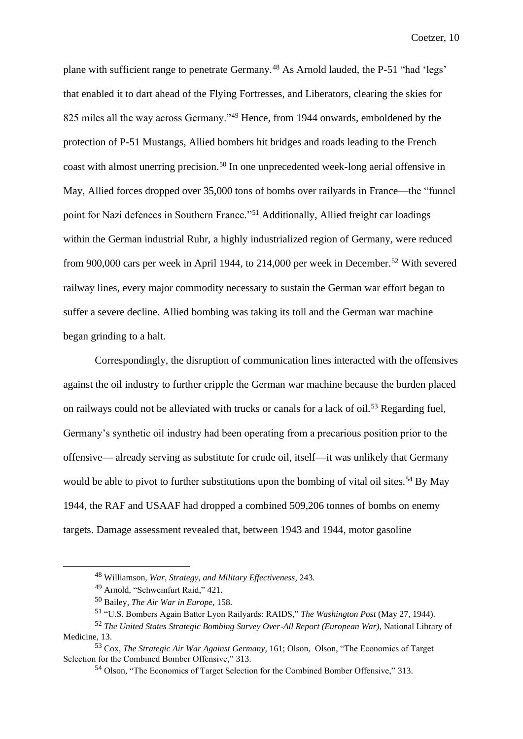plane with sufficient range to penetrate Germany.<sup>48</sup> As Arnold lauded, the P-51 "had 'legs' that enabled it to dart ahead of the Flying Fortresses, and Liberators, clearing the skies for 825 miles all the way across Germany."<sup>49</sup> Hence, from 1944 onwards, emboldened by the protection of P-51 Mustangs, Allied bombers hit bridges and roads leading to the French coast with almost unerring precision.<sup>50</sup> In one unprecedented week-long aerial offensive in May, Allied forces dropped over 35,000 tons of bombs over railyards in France—the "funnel point for Nazi defences in Southern France."<sup>51</sup> Additionally, Allied freight car loadings within the German industrial Ruhr, a highly industrialized region of Germany, were reduced from 900,000 cars per week in April 1944, to 214,000 per week in December.<sup>52</sup> With severed railway lines, every major commodity necessary to sustain the German war effort began to suffer a severe decline. Allied bombing was taking its toll and the German war machine began grinding to a halt.

Correspondingly, the disruption of communication lines interacted with the offensives against the oil industry to further cripple the German war machine because the burden placed on railways could not be alleviated with trucks or canals for a lack of oil.<sup>53</sup> Regarding fuel, Germany's synthetic oil industry had been operating from a precarious position prior to the offensive— already serving as substitute for crude oil, itself—it was unlikely that Germany would be able to pivot to further substitutions upon the bombing of vital oil sites.<sup>54</sup> By May 1944, the RAF and USAAF had dropped a combined 509,206 tonnes of bombs on enemy targets. Damage assessment revealed that, between 1943 and 1944, motor gasoline

<sup>48</sup> Williamson, *War, Strategy, and Military Effectiveness,* 243.

<sup>49</sup> Arnold, "Schweinfurt Raid," 421.

<sup>50</sup> Bailey, *The Air War in Europe,* 158.

<sup>51</sup> "U.S. Bombers Again Batter Lyon Railyards: RAIDS," *The Washington Post* (May 27, 1944).

<sup>52</sup> *The United States Strategic Bombing Survey Over-All Report (European War),* National Library of Medicine, 13.

<sup>53</sup> Cox, *The Strategic Air War Against Germany,* 161; Olson, Olson, "The Economics of Target Selection for the Combined Bomber Offensive," 313.

<sup>54</sup> Olson, "The Economics of Target Selection for the Combined Bomber Offensive," 313.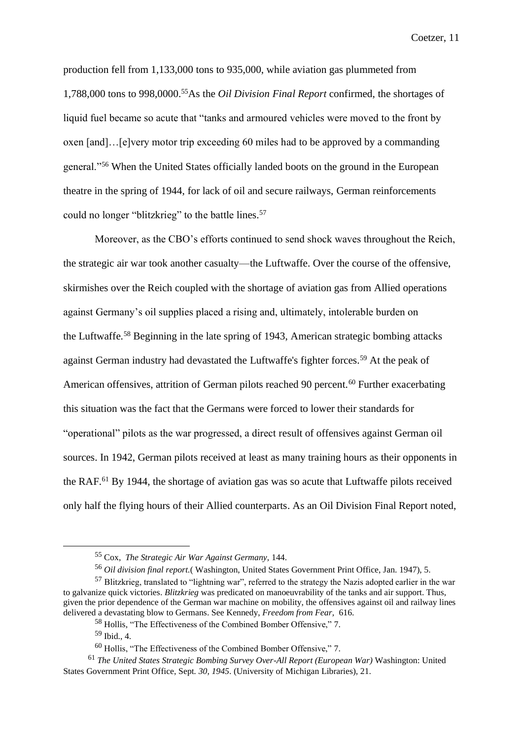production fell from 1,133,000 tons to 935,000, while aviation gas plummeted from 1,788,000 tons to 998,0000.<sup>55</sup>As the *Oil Division Final Report* confirmed, the shortages of liquid fuel became so acute that "tanks and armoured vehicles were moved to the front by oxen [and]…[e]very motor trip exceeding 60 miles had to be approved by a commanding general."<sup>56</sup> When the United States officially landed boots on the ground in the European theatre in the spring of 1944, for lack of oil and secure railways, German reinforcements could no longer "blitzkrieg" to the battle lines.<sup>57</sup>

Moreover, as the CBO's efforts continued to send shock waves throughout the Reich, the strategic air war took another casualty—the Luftwaffe. Over the course of the offensive, skirmishes over the Reich coupled with the shortage of aviation gas from Allied operations against Germany's oil supplies placed a rising and, ultimately, intolerable burden on the Luftwaffe*.* <sup>58</sup> Beginning in the late spring of 1943, American strategic bombing attacks against German industry had devastated the Luftwaffe's fighter forces.<sup>59</sup> At the peak of American offensives, attrition of German pilots reached 90 percent.<sup>60</sup> Further exacerbating this situation was the fact that the Germans were forced to lower their standards for "operational" pilots as the war progressed, a direct result of offensives against German oil sources. In 1942, German pilots received at least as many training hours as their opponents in the RAF.<sup>61</sup> By 1944, the shortage of aviation gas was so acute that Luftwaffe pilots received only half the flying hours of their Allied counterparts. As an Oil Division Final Report noted,

<sup>55</sup> Cox, *The Strategic Air War Against Germany,* 144.

<sup>56</sup> *Oil division final report.*( Washington, United States Government Print Office, Jan. 1947), 5.

<sup>57</sup> Blitzkrieg, translated to "lightning war", referred to the strategy the Nazis adopted earlier in the war to galvanize quick victories. *Blitzkrieg* was predicated on manoeuvrability of the tanks and air support. Thus, given the prior dependence of the German war machine on mobility, the offensives against oil and railway lines delivered a devastating blow to Germans. See Kennedy, *Freedom from Fear,* 616.

<sup>58</sup> Hollis, "The Effectiveness of the Combined Bomber Offensive," 7.

<sup>59</sup> Ibid., 4.

<sup>60</sup> Hollis, "The Effectiveness of the Combined Bomber Offensive," 7.

<sup>61</sup> *The United States Strategic Bombing Survey Over-All Report (European War)* Washington: United States Government Print Office, Sept*. 30, 1945*. (University of Michigan Libraries), 21.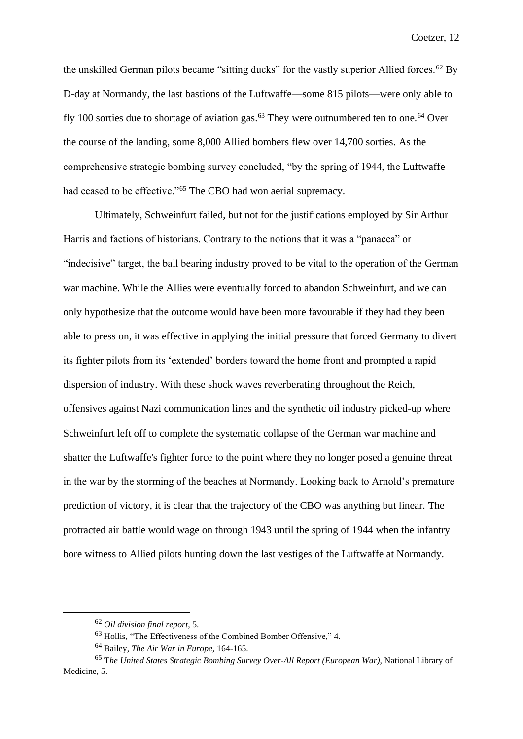the unskilled German pilots became "sitting ducks" for the vastly superior Allied forces.<sup>62</sup> By D-day at Normandy, the last bastions of the Luftwaffe—some 815 pilots—were only able to fly 100 sorties due to shortage of aviation gas.<sup>63</sup> They were outnumbered ten to one.<sup>64</sup> Over the course of the landing, some 8,000 Allied bombers flew over 14,700 sorties. As the comprehensive strategic bombing survey concluded, "by the spring of 1944, the Luftwaffe had ceased to be effective."<sup>65</sup> The CBO had won aerial supremacy.

Ultimately, Schweinfurt failed, but not for the justifications employed by Sir Arthur Harris and factions of historians. Contrary to the notions that it was a "panacea" or "indecisive" target, the ball bearing industry proved to be vital to the operation of the German war machine. While the Allies were eventually forced to abandon Schweinfurt, and we can only hypothesize that the outcome would have been more favourable if they had they been able to press on, it was effective in applying the initial pressure that forced Germany to divert its fighter pilots from its 'extended' borders toward the home front and prompted a rapid dispersion of industry. With these shock waves reverberating throughout the Reich, offensives against Nazi communication lines and the synthetic oil industry picked-up where Schweinfurt left off to complete the systematic collapse of the German war machine and shatter the Luftwaffe's fighter force to the point where they no longer posed a genuine threat in the war by the storming of the beaches at Normandy. Looking back to Arnold's premature prediction of victory, it is clear that the trajectory of the CBO was anything but linear. The protracted air battle would wage on through 1943 until the spring of 1944 when the infantry bore witness to Allied pilots hunting down the last vestiges of the Luftwaffe at Normandy.

<sup>62</sup> *Oil division final report,* 5.

<sup>63</sup> Hollis, "The Effectiveness of the Combined Bomber Offensive," 4.

<sup>64</sup> Bailey, *The Air War in Europe,* 164-165.

<sup>65</sup> T*he United States Strategic Bombing Survey Over-All Report (European War),* National Library of Medicine, 5.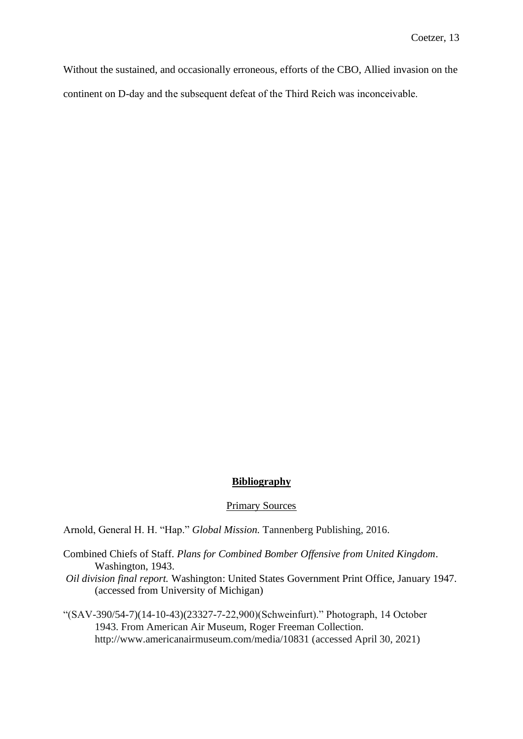Without the sustained, and occasionally erroneous, efforts of the CBO, Allied invasion on the continent on D-day and the subsequent defeat of the Third Reich was inconceivable.

## **Bibliography**

## Primary Sources

Arnold, General H. H. "Hap." *Global Mission.* Tannenberg Publishing, 2016.

- Combined Chiefs of Staff. *Plans for Combined Bomber Offensive from United Kingdom*. Washington, 1943.
- *Oil division final report.* Washington: United States Government Print Office, January 1947. (accessed from University of Michigan)
- "(SAV-390/54-7)(14-10-43)(23327-7-22,900)(Schweinfurt)." Photograph, 14 October 1943. From American Air Museum, Roger Freeman Collection. http://www.americanairmuseum.com/media/10831 (accessed April 30, 2021)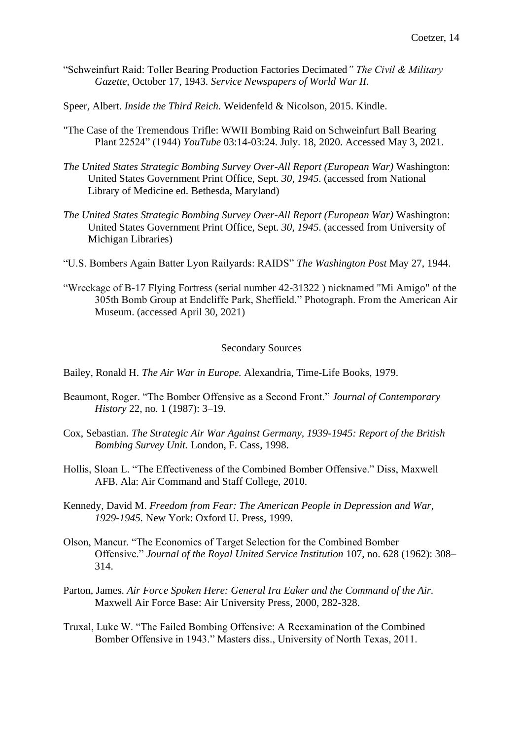- "Schweinfurt Raid: Toller Bearing Production Factories Decimated*" The Civil & Military Gazette,* October 17, 1943. *Service Newspapers of World War II.*
- Speer, Albert. *Inside the Third Reich.* Weidenfeld & Nicolson, 2015. Kindle.
- "The Case of the Tremendous Trifle: WWII Bombing Raid on Schweinfurt Ball Bearing Plant 22524" (1944) *YouTube* 03:14-03:24. July. 18, 2020. Accessed May 3, 2021.
- *The United States Strategic Bombing Survey Over-All Report (European War)* Washington: United States Government Print Office, Sept*. 30, 1945*. (accessed from National Library of Medicine ed. Bethesda, Maryland)
- *The United States Strategic Bombing Survey Over-All Report (European War)* Washington: United States Government Print Office, Sept*. 30, 1945*. (accessed from University of Michigan Libraries)
- "U.S. Bombers Again Batter Lyon Railyards: RAIDS" *The Washington Post* May 27, 1944.
- "Wreckage of B-17 Flying Fortress (serial number 42-31322 ) nicknamed "Mi Amigo" of the 305th Bomb Group at Endcliffe Park, Sheffield." Photograph. From the American Air Museum. (accessed April 30, 2021)

## Secondary Sources

Bailey, Ronald H. *The Air War in Europe.* Alexandria, Time-Life Books, 1979.

- Beaumont, Roger. "The Bomber Offensive as a Second Front*.*" *Journal of Contemporary History* 22, no. 1 (1987): 3–19.
- Cox, Sebastian. *The Strategic Air War Against Germany, 1939-1945: Report of the British Bombing Survey Unit.* London, F. Cass, 1998.
- Hollis, Sloan L. "The Effectiveness of the Combined Bomber Offensive." Diss, Maxwell AFB. Ala: Air Command and Staff College, 2010.
- Kennedy, David M. *Freedom from Fear: The American People in Depression and War, 1929-1945.* New York: Oxford U. Press, 1999.
- Olson, Mancur. "The Economics of Target Selection for the Combined Bomber Offensive." *Journal of the Royal United Service Institution* 107, no. 628 (1962): 308– 314.
- Parton, James. *Air Force Spoken Here: General Ira Eaker and the Command of the Air.*  Maxwell Air Force Base: Air University Press, 2000, 282-328.
- Truxal, Luke W. "The Failed Bombing Offensive: A Reexamination of the Combined Bomber Offensive in 1943." Masters diss., University of North Texas, 2011.